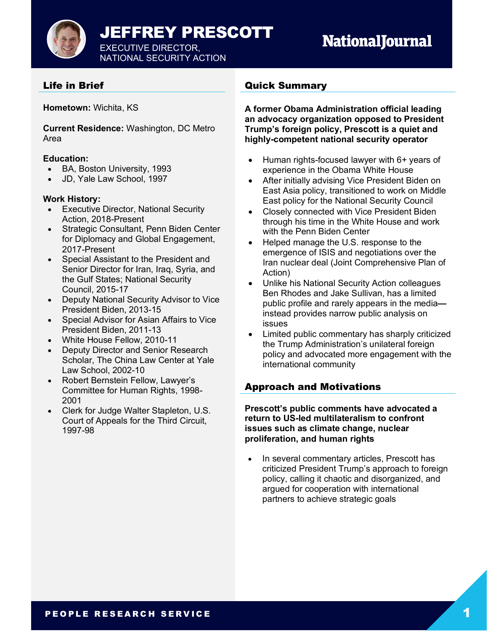

## Life in Brief

**Hometown:** Wichita, KS

**Current Residence:** Washington, DC Metro Area

#### **Education:**

- BA, Boston University, 1993
- JD, Yale Law School, 1997

#### **Work History:**

- Executive Director, National Security Action, 2018-Present
- Strategic Consultant, Penn Biden Center for Diplomacy and Global Engagement, 2017-Present
- Special Assistant to the President and Senior Director for Iran, Iraq, Syria, and the Gulf States; National Security Council, 2015-17
- Deputy National Security Advisor to Vice President Biden, 2013-15
- Special Advisor for Asian Affairs to Vice President Biden, 2011-13
- White House Fellow, 2010-11
- Deputy Director and Senior Research Scholar, The China Law Center at Yale Law School, 2002-10
- Robert Bernstein Fellow, Lawyer's Committee for Human Rights, 1998- 2001
- Clerk for Judge Walter Stapleton, U.S. Court of Appeals for the Third Circuit, 1997-98

#### Quick Summary

**A former Obama Administration official leading an advocacy organization opposed to President Trump's foreign policy, Prescott is a quiet and highly-competent national security operator**

- Human rights-focused lawyer with 6+ years of experience in the Obama White House
- After initially advising Vice President Biden on East Asia policy, transitioned to work on Middle East policy for the National Security Council
- Closely connected with Vice President Biden through his time in the White House and work with the Penn Biden Center
- Helped manage the U.S. response to the emergence of ISIS and negotiations over the Iran nuclear deal (Joint Comprehensive Plan of Action)
- Unlike his National Security Action colleagues Ben Rhodes and Jake Sullivan, has a limited public profile and rarely appears in the media instead provides narrow public analysis on issues
- Limited public commentary has sharply criticized the Trump Administration's unilateral foreign policy and advocated more engagement with the international community

### Approach and Motivations

**Prescott's public comments have advocated a return to US-led multilateralism to confront issues such as climate change, nuclear proliferation, and human rights**

• In several commentary articles, Prescott has criticized President Trump's approach to foreign policy, calling it chaotic and disorganized, and argued for cooperation with international partners to achieve strategic goals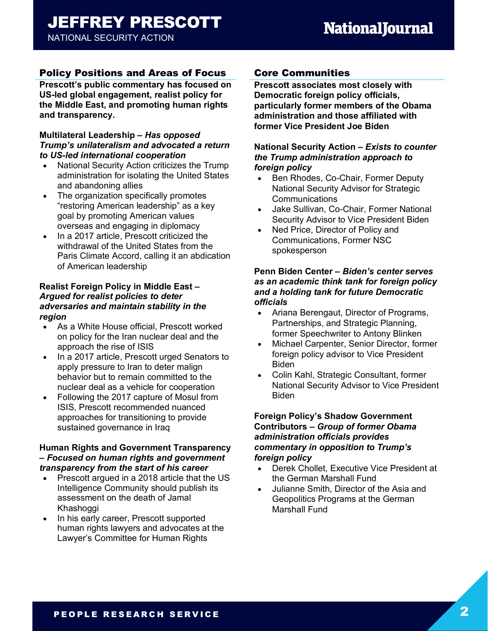## Policy Positions and Areas of Focus

**Prescott's public commentary has focused on US-led global engagement, realist policy for the Middle East, and promoting human rights and transparency.**

#### **Multilateral Leadership** *– Has opposed Trump's unilateralism and advocated a return to US-led international cooperation*

- National Security Action criticizes the Trump administration for isolating the United States and abandoning allies
- The organization specifically promotes "restoring American leadership" as a key goal by promoting American values overseas and engaging in diplomacy
- In a 2017 article, Prescott criticized the withdrawal of the United States from the Paris Climate Accord, calling it an abdication of American leadership

#### **Realist Foreign Policy in Middle East** *– Argued for realist policies to deter adversaries and maintain stability in the region*

- As a White House official, Prescott worked on policy for the Iran nuclear deal and the approach the rise of ISIS
- In a 2017 article, Prescott urged Senators to apply pressure to Iran to deter malign behavior but to remain committed to the nuclear deal as a vehicle for cooperation
- Following the 2017 capture of Mosul from ISIS, Prescott recommended nuanced approaches for transitioning to provide sustained governance in Iraq

#### **Human Rights and Government Transparency** *– Focused on human rights and government transparency from the start of his career*

- Prescott argued in a 2018 article that the US Intelligence Community should publish its assessment on the death of Jamal Khashoggi
- In his early career, Prescott supported human rights lawyers and advocates at the Lawyer's Committee for Human Rights

## Core Communities

**Prescott associates most closely with Democratic foreign policy officials, particularly former members of the Obama administration and those affiliated with former Vice President Joe Biden**

#### **National Security Action** *– Exists to counter the Trump administration approach to foreign policy*

- Ben Rhodes, Co-Chair, Former Deputy National Security Advisor for Strategic Communications
- Jake Sullivan, Co-Chair, Former National Security Advisor to Vice President Biden
- Ned Price, Director of Policy and Communications, Former NSC spokesperson

#### **Penn Biden Center** *– Biden's center serves as an academic think tank for foreign policy and a holding tank for future Democratic officials*

- Ariana Berengaut, Director of Programs, Partnerships, and Strategic Planning, former Speechwriter to Antony Blinken
- Michael Carpenter, Senior Director, former foreign policy advisor to Vice President Biden
- Colin Kahl, Strategic Consultant, former National Security Advisor to Vice President Biden

#### **Foreign Policy's Shadow Government Contributors** *– Group of former Obama administration officials provides commentary in opposition to Trump's foreign policy*

- Derek Chollet, Executive Vice President at the German Marshall Fund
- Julianne Smith, Director of the Asia and Geopolitics Programs at the German Marshall Fund